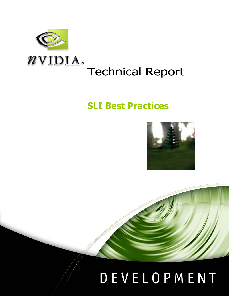

## Technical Report

### **SLI Best Practices**



# DEVELOPMENT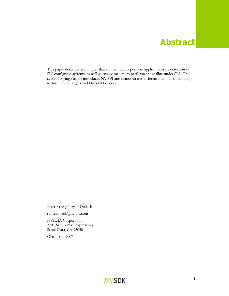#### **Abstract**

This paper describes techniques that can be used to perform application-side detection of SLI-configured systems, as well as ensure maximum performance scaling under SLI. The accompanying sample introduces NVAPI and demonstrates different methods of handling texture render targets and Direct3D queries.

Peter Young/Bryan Dudash sdkfeedback@nvidia.com

NVIDIA Corporation 2701 San Tomas Expressway Santa Clara, CA 95050

October 2, 2007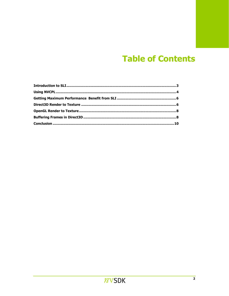#### **Table of Contents**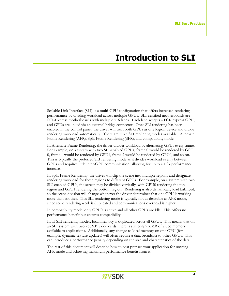#### **Introduction to SLI**

Scalable Link Interface (SLI) is a multi-GPU configuration that offers increased rendering performance by dividing workload across multiple GPUs. SLI-certified motherboards are PCI-Express motherboards with multiple x16 lanes. Each lane accepts a PCI-Express GPU, and GPUs are linked via an external bridge connector. Once SLI rendering has been enabled in the control panel, the driver will treat both GPUs as one logical device and divide rendering workload automatically. There are three SLI rendering modes available: Alternate Frame Rendering (AFR), Split Frame Rendering (SFR), and compatibility mode.

In Alternate Frame Rendering, the driver divides workload by alternating GPUs every frame. For example, on a system with two SLI-enabled GPUs, frame 0 would be rendered by GPU 0, frame 1 would be rendered by GPU1, frame 2 would be rendered by GPU0, and so on. This is typically the preferred SLI rendering mode as it divides workload evenly between GPUs and requires little inter-GPU communication, allowing for up to a 1.9x performance increase.

In Split Frame Rendering, the driver will clip the scene into multiple regions and designate rendering workload for these regions to different GPUs. For example, on a system with two SLI-enabled GPUs, the screen may be divided vertically, with GPU0 rendering the top region and GPU1 rendering the bottom region. Rendering is also dynamically load balanced, so the scene division will change whenever the driver determines that one GPU is working more than another. This SLI rendering mode is typically not as desirable as AFR mode, since some rendering work is duplicated and communications overhead is higher.

In compatibility mode, only GPU0 is active and all other GPUs are idle. This offers no performance benefit but ensures compatibility.

In all SLI-rendering modes, local memory is duplicated across all GPUs. This means that on an SLI system with two 256MB video cards, there is still only 256MB of video memory available to applications. Additionally, any change to local memory on one GPU (for example, dynamic texture updates) will often require a data broadcast to other GPUs. This can introduce a performance penalty depending on the size and characteristics of the data.

The rest of this document will describe how to best prepare your application for running AFR mode and achieving maximum performance benefit from it.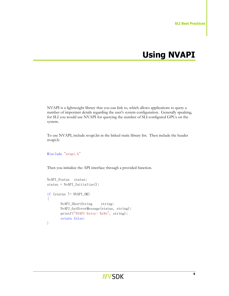### **Using NVAPI**

NVAPI is a lightweight library that you can link to, which allows applications to query a number of important details regarding the user's system configuration. Generally speaking, for SLI you would use NVAPI for querying the number of SLI-configured GPUs on the system.

To use NVAPI, include nvapi.lin in the linked static library list. Then include the header nvapi.h:

#include "nvapi.h"

Then you initialize the API interface through a provided function.

```
NvAPI Status status;
       status = NvAPI_Initialize(); 
      if (status != NVAPI_OK)
        { 
              NvAPI_ShortString string;
               NvAPI_GetErrorMessage(status, string); 
              printf("NVAPI Error: %s\n", string);
               return false; 
 }
```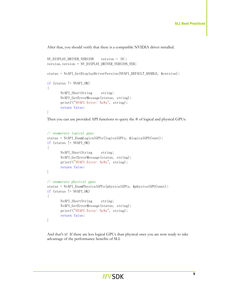After that, you should verify that there is a compatible NVIDIA driver installed.

```
NV_DISPLAN_DRIVER_VERSION version = \{0\};
 version.version = NV_DISPLAY_DRIVER_VERSION_VER; 
 status = NvAPI_GetDisplayDriverVersion(NVAPI_DEFAULT_HANDLE, &version); 
if (status != NVAPI_OK) 
 { 
       NvAPI_ShortString string;
        NvAPI_GetErrorMessage(status, string); 
       printf("NVAPI Error: %s\n", string);
        return false; 
 }
```
Then you can use provided API functions to query the # of logical and physical GPUs:

```
// enumerate logical gpus 
       status = NvAPI_EnumLogicalGPUs(logicalGPUs, &logicalGPUCount);
       if (status != NVAPI OK)
        { 
              NvAPI_ShortString string;
               NvAPI_GetErrorMessage(status, string); 
              printf("NVAPI Error: %s\n", string);
               return false; 
 } 
      // enumerate physical gpus 
       status = NvAPI_EnumPhysicalGPUs(physicalGPUs, &physicalGPUCount); 
       if (status != NVAPI_OK) 
        { 
              NvAPI_ShortString string;
               NvAPI_GetErrorMessage(status, string); 
              printf("NVAPI Error: %s\n", string);
               return false; 
        }
```
And that's it! If there are less logical GPUs than physical ones you are now ready to take advantage of the performance benefits of SLI.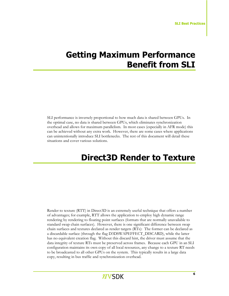#### **Getting Maximum Performance Benefit from SLI**

SLI performance is inversely proportional to how much data is shared between GPUs. In the optimal case, no data is shared between GPUs, which eliminates synchronization overhead and allows for maximum parallelism. In most cases (especially in AFR mode) this can be achieved without any extra work. However, there are some cases where applications can unintentionally introduce SLI bottlenecks. The rest of this document will detail these situations and cover various solutions.

#### **Direct3D Render to Texture**

Render to texture (RTT) in Direct3D is an extremely useful technique that offers a number of advantages; for example, RTT allows the application to employ high dynamic range rendering by rendering to floating point surfaces (formats that are normally unavailable to standard swap chain surfaces). However, there is one significant difference between swap chain surfaces and textures declared as render targets (RTs): The former can be declared as a discardable surface (through the flag D3DSWAPEFFECT\_DISCARD), while the latter has no equivalent creation flag. Without this discard hint, the driver must assume that the data integrity of texture RTs must be preserved across frames. Because each GPU in an SLI configuration maintains its own copy of all local resources, any change to a texture RT needs to be broadcasted to all other GPUs on the system. This typically results in a large data copy, resulting in bus traffic and synchronization overhead.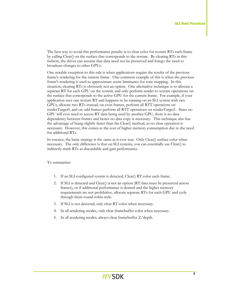The best way to avoid this performance penalty is to clear color for texture RTs each frame by calling Clear() on the surface that corresponds to the texture. By clearing RTs in this fashion, the driver can assume that data need not be preserved and forego the need to broadcast changes to other GPUs.

One notable exception to this rule is when applications require the results of the previous frame's rendering for the current frame. One common example of this is when the previous frame's rendering is used to approximate scene luminance for tone mapping. In this situation, clearing RTs is obviously not an option. One alternative technique is to allocate a separate RT for each GPU on the system, and only perform render to texture operations on the surface that corresponds to the active GPU for the current frame. For example, if your application uses one texture RT and happens to be running on an SLI system with two GPUs, allocate two RTs instead; on even frames, perform all RTT operations on renderTarget0, and on odd frames perform all RTT operations on renderTarget1. Since no GPU will ever need to access RT data being used by another GPU, there is no data dependency between frames and hence no data copy is necessary. This technique also has the advantage of being slightly faster than the Clear() method, as no clear operation is necessary. However, this comes at the cost of higher memory consumption due to the need for additional RTs.

In essence, the basic strategy is the same as it ever was: Only Clear() surface color when necessary. The only difference is that on SLI systems, you can essentially use Clear() to indirectly mark RTs as discardable and gain performance.

To summarize:

- 1. If an SLI-configured system is detected, Clear() RT color each frame.
- 2. If SLI is detected and Clear() is not an option (RT data must be preserved across frames), or if additional performance is desired and the higher memory requirements are not prohibitive, allocate separate RTs for each GPU and cycle through them round-robin style.
- 3. If SLI is not detected, only clear RT color when necessary.
- 4. In all rendering modes, only clear framebuffer color when necessary.
- 5. In all rendering modes, always clear framebuffer Z/depth.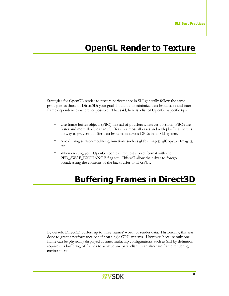### **OpenGL Render to Texture**

Strategies for OpenGL render to texture performance in SLI generally follow the same principles as those of Direct3D; your goal should be to minimize data broadcasts and interframe dependencies wherever possible. That said, here is a list of OpenGL-specific tips:

- Use frame buffer objects (FBO) instead of pbuffers wherever possible. FBOs are faster and more flexible than pbuffers in almost all cases and with pbuffers there is no way to prevent pbuffer data broadcasts across GPUs in an SLI system.
- Avoid using surface-modifying functions such as glTexImage(), glCopyTexImage(), etc.
- When creating your OpenGL context, request a pixel format with the PFD\_SWAP\_EXCHANGE flag set. This will allow the driver to forego broadcasting the contents of the backbuffer to all GPUs.

### **Buffering Frames in Direct3D**

By default, Direct3D buffers up to three frames' worth of render data. Historically, this was done to grant a performance benefit on single GPU systems. However, because only one frame can be physically displayed at time, multichip configurations such as SLI by definition require this buffering of frames to achieve any parallelism in an alternate frame rendering environment.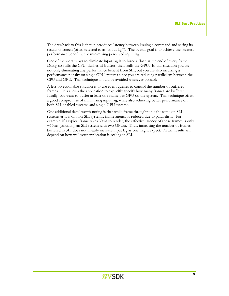The drawback to this is that it introduces latency between issuing a command and seeing its results onscreen (often referred to as "input lag"). The overall goal is to achieve the greatest performance benefit while minimizing perceived input lag.

One of the worst ways to eliminate input lag is to force a flush at the end of every frame. Doing so stalls the CPU, flushes all buffers, then stalls the GPU. In this situation you are not only eliminating any performance benefit from SLI, but you are also incurring a performance penalty on single GPU systems since you are reducing parallelism between the CPU and GPU. This technique should be avoided wherever possible.

A less objectionable solution is to use event queries to control the number of buffered frames. This allows the application to explicitly specify how many frames are buffered. Ideally, you want to buffer at least one frame per GPU on the system. This technique offers a good compromise of minimizing input lag, while also achieving better performance on both SLI-enabled systems and single-GPU systems.

One additional detail worth noting is that while frame throughput is the same on SLI systems as it is on non-SLI systems, frame latency is reduced due to parallelism. For example, if a typical frame takes 30ms to render, the effective latency of those frames is only  $\sim$ 15ms (assuming an SLI system with two GPUs). Thus, increasing the number of frames buffered in SLI does not linearly increase input lag as one might expect. Actual results will depend on how well your application is scaling in SLI.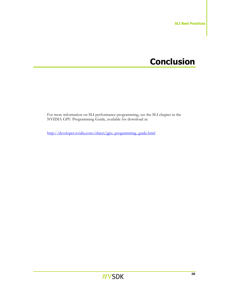#### **Conclusion**

For more information on SLI performance programming, see the SLI chapter in the NVIDIA GPU Programming Guide, available for download at:

http://developer.nvidia.com/object/gpu\_programming\_guide.html